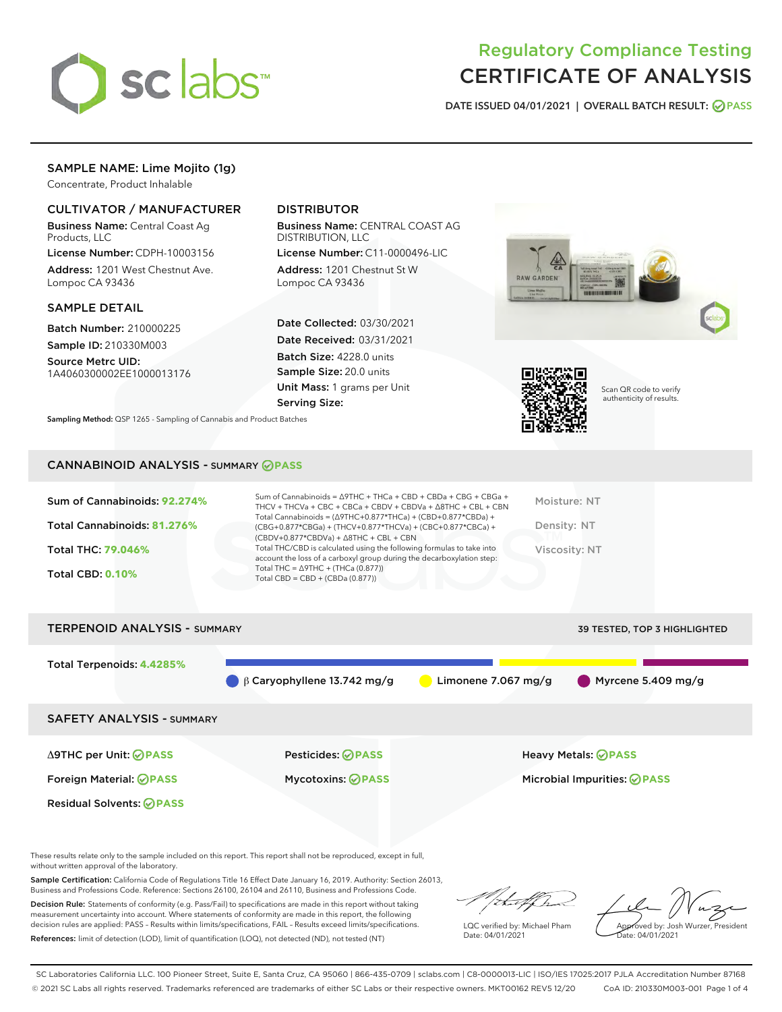

# Regulatory Compliance Testing CERTIFICATE OF ANALYSIS

DATE ISSUED 04/01/2021 | OVERALL BATCH RESULT: @ PASS

## SAMPLE NAME: Lime Mojito (1g)

Concentrate, Product Inhalable

## CULTIVATOR / MANUFACTURER

Business Name: Central Coast Ag Products, LLC

License Number: CDPH-10003156 Address: 1201 West Chestnut Ave. Lompoc CA 93436

## SAMPLE DETAIL

Batch Number: 210000225 Sample ID: 210330M003

Source Metrc UID: 1A4060300002EE1000013176

## DISTRIBUTOR

Business Name: CENTRAL COAST AG DISTRIBUTION, LLC

License Number: C11-0000496-LIC Address: 1201 Chestnut St W Lompoc CA 93436

Date Collected: 03/30/2021 Date Received: 03/31/2021 Batch Size: 4228.0 units Sample Size: 20.0 units Unit Mass: 1 grams per Unit Serving Size:





Scan QR code to verify authenticity of results.

Sampling Method: QSP 1265 - Sampling of Cannabis and Product Batches

## CANNABINOID ANALYSIS - SUMMARY **PASS**

| Sum of Cannabinoids: 92.274%<br>Total Cannabinoids: 81.276%<br>Total THC: 79.046%<br><b>Total CBD: 0.10%</b> | Sum of Cannabinoids = $\triangle$ 9THC + THCa + CBD + CBDa + CBG + CBGa +<br>THCV + THCVa + CBC + CBCa + CBDV + CBDVa + $\triangle$ 8THC + CBL + CBN<br>Total Cannabinoids = $(\Delta$ 9THC+0.877*THCa) + (CBD+0.877*CBDa) +<br>(CBG+0.877*CBGa) + (THCV+0.877*THCVa) + (CBC+0.877*CBCa) +<br>$(CBDV+0.877*CBDVa) + \Delta 8THC + CBL + CBN$<br>Total THC/CBD is calculated using the following formulas to take into<br>account the loss of a carboxyl group during the decarboxylation step:<br>Total THC = $\triangle$ 9THC + (THCa (0.877))<br>Total CBD = $CBD + (CBDa (0.877))$ | Moisture: NT<br>Density: NT<br>Viscosity: NT |
|--------------------------------------------------------------------------------------------------------------|---------------------------------------------------------------------------------------------------------------------------------------------------------------------------------------------------------------------------------------------------------------------------------------------------------------------------------------------------------------------------------------------------------------------------------------------------------------------------------------------------------------------------------------------------------------------------------------|----------------------------------------------|
| <b>TERPENOID ANALYSIS - SUMMARY</b>                                                                          |                                                                                                                                                                                                                                                                                                                                                                                                                                                                                                                                                                                       | <b>39 TESTED, TOP 3 HIGHLIGHTED</b>          |

Total Terpenoids: **4.4285%** β Caryophyllene 13.742 mg/g Limonene 7.067 mg/g Myrcene 5.409 mg/g SAFETY ANALYSIS - SUMMARY Δ9THC per Unit: **PASS** Pesticides: **PASS** Heavy Metals: **PASS** Foreign Material: **PASS** Mycotoxins: **PASS** Microbial Impurities: **PASS** Residual Solvents: **PASS** 

These results relate only to the sample included on this report. This report shall not be reproduced, except in full, without written approval of the laboratory.

Sample Certification: California Code of Regulations Title 16 Effect Date January 16, 2019. Authority: Section 26013, Business and Professions Code. Reference: Sections 26100, 26104 and 26110, Business and Professions Code.

Decision Rule: Statements of conformity (e.g. Pass/Fail) to specifications are made in this report without taking measurement uncertainty into account. Where statements of conformity are made in this report, the following decision rules are applied: PASS – Results within limits/specifications, FAIL – Results exceed limits/specifications. References: limit of detection (LOD), limit of quantification (LOQ), not detected (ND), not tested (NT)

that f Is

LQC verified by: Michael Pham Date: 04/01/2021

Approved by: Josh Wurzer, President Date: 04/01/2021

SC Laboratories California LLC. 100 Pioneer Street, Suite E, Santa Cruz, CA 95060 | 866-435-0709 | sclabs.com | C8-0000013-LIC | ISO/IES 17025:2017 PJLA Accreditation Number 87168 © 2021 SC Labs all rights reserved. Trademarks referenced are trademarks of either SC Labs or their respective owners. MKT00162 REV5 12/20 CoA ID: 210330M003-001 Page 1 of 4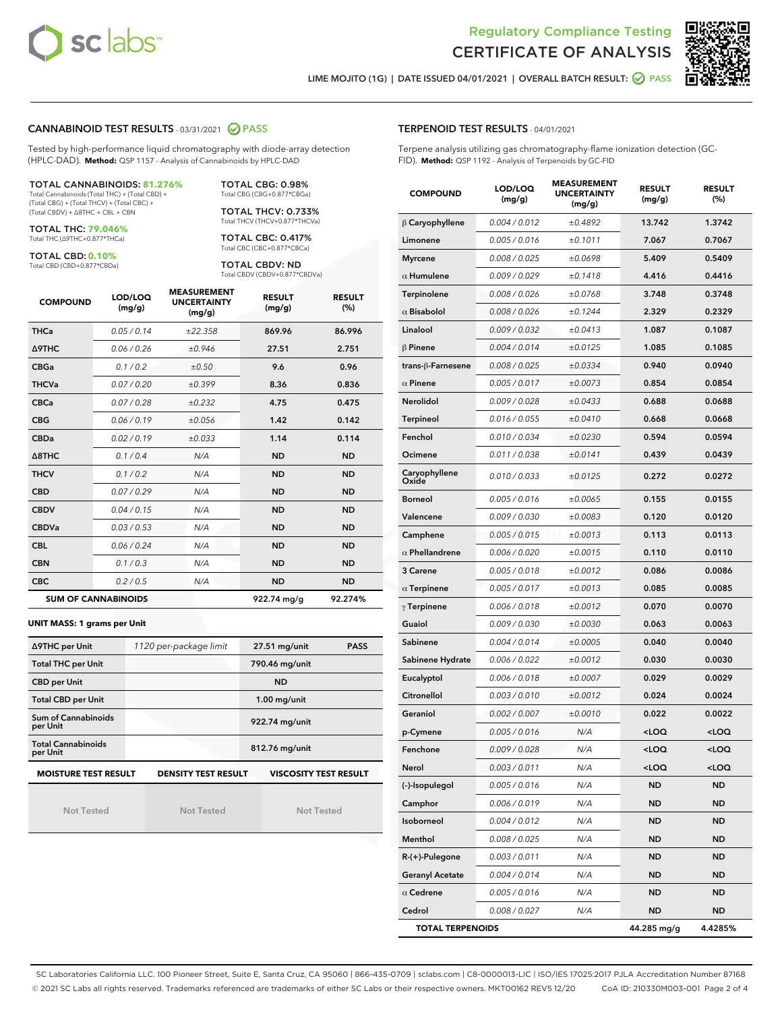



LIME MOJITO (1G) | DATE ISSUED 04/01/2021 | OVERALL BATCH RESULT: O PASS

#### CANNABINOID TEST RESULTS - 03/31/2021 2 PASS

Tested by high-performance liquid chromatography with diode-array detection (HPLC-DAD). **Method:** QSP 1157 - Analysis of Cannabinoids by HPLC-DAD

## TOTAL CANNABINOIDS: **81.276%**

Total Cannabinoids (Total THC) + (Total CBD) + (Total CBG) + (Total THCV) + (Total CBC) + (Total CBDV) + ∆8THC + CBL + CBN

TOTAL THC: **79.046%** Total THC (∆9THC+0.877\*THCa)

TOTAL CBD: **0.10%**

Total CBD (CBD+0.877\*CBDa)

TOTAL CBG: 0.98% Total CBG (CBG+0.877\*CBGa)

TOTAL THCV: 0.733% Total THCV (THCV+0.877\*THCVa)

TOTAL CBC: 0.417% Total CBC (CBC+0.877\*CBCa)

TOTAL CBDV: ND Total CBDV (CBDV+0.877\*CBDVa)

| <b>COMPOUND</b> | LOD/LOQ<br>(mg/g)          | <b>MEASUREMENT</b><br><b>UNCERTAINTY</b><br>(mg/g) | <b>RESULT</b><br>(mg/g) | <b>RESULT</b><br>(%) |
|-----------------|----------------------------|----------------------------------------------------|-------------------------|----------------------|
| <b>THCa</b>     | 0.05 / 0.14                | ±22.358                                            | 869.96                  | 86.996               |
| <b>A9THC</b>    | 0.06 / 0.26                | ±0.946                                             | 27.51                   | 2.751                |
| <b>CBGa</b>     | 0.1 / 0.2                  | ±0.50                                              | 9.6                     | 0.96                 |
| <b>THCVa</b>    | 0.07 / 0.20                | ±0.399                                             | 8.36                    | 0.836                |
| <b>CBCa</b>     | 0.07/0.28                  | ±0.232                                             | 4.75                    | 0.475                |
| <b>CBG</b>      | 0.06/0.19                  | ±0.056                                             | 1.42                    | 0.142                |
| <b>CBDa</b>     | 0.02/0.19                  | ±0.033                                             | 1.14                    | 0.114                |
| A8THC           | 0.1/0.4                    | N/A                                                | <b>ND</b>               | <b>ND</b>            |
| <b>THCV</b>     | 0.1/0.2                    | N/A                                                | <b>ND</b>               | <b>ND</b>            |
| <b>CBD</b>      | 0.07/0.29                  | N/A                                                | <b>ND</b>               | <b>ND</b>            |
| <b>CBDV</b>     | 0.04 / 0.15                | N/A                                                | <b>ND</b>               | <b>ND</b>            |
| <b>CBDVa</b>    | 0.03/0.53                  | N/A                                                | <b>ND</b>               | <b>ND</b>            |
| <b>CBL</b>      | 0.06 / 0.24                | N/A                                                | <b>ND</b>               | <b>ND</b>            |
| <b>CBN</b>      | 0.1/0.3                    | N/A                                                | <b>ND</b>               | <b>ND</b>            |
| <b>CBC</b>      | 0.2 / 0.5                  | N/A                                                | <b>ND</b>               | <b>ND</b>            |
|                 | <b>SUM OF CANNABINOIDS</b> |                                                    | 922.74 mg/g             | 92.274%              |

#### **UNIT MASS: 1 grams per Unit**

| ∆9THC per Unit                        | 1120 per-package limit     | <b>PASS</b><br>$27.51$ mg/unit |  |
|---------------------------------------|----------------------------|--------------------------------|--|
| <b>Total THC per Unit</b>             |                            | 790.46 mg/unit                 |  |
| <b>CBD per Unit</b>                   |                            | <b>ND</b>                      |  |
| <b>Total CBD per Unit</b>             |                            | $1.00$ mg/unit                 |  |
| Sum of Cannabinoids<br>per Unit       |                            | 922.74 mg/unit                 |  |
| <b>Total Cannabinoids</b><br>per Unit |                            | 812.76 mg/unit                 |  |
| <b>MOISTURE TEST RESULT</b>           | <b>DENSITY TEST RESULT</b> | <b>VISCOSITY TEST RESULT</b>   |  |

Not Tested

**MOISTURE TEST RESULT**

Not Tested

Not Tested

### TERPENOID TEST RESULTS - 04/01/2021

Terpene analysis utilizing gas chromatography-flame ionization detection (GC-FID). **Method:** QSP 1192 - Analysis of Terpenoids by GC-FID

| <b>COMPOUND</b>         | LOD/LOQ<br>(mg/g) | <b>MEASUREMENT</b><br><b>UNCERTAINTY</b><br>(mg/g) | <b>RESULT</b><br>(mg/g)                         | <b>RESULT</b><br>(%) |
|-------------------------|-------------------|----------------------------------------------------|-------------------------------------------------|----------------------|
| $\beta$ Caryophyllene   | 0.004 / 0.012     | ±0.4892                                            | 13.742                                          | 1.3742               |
| Limonene                | 0.005 / 0.016     | ±0.1011                                            | 7.067                                           | 0.7067               |
| <b>Myrcene</b>          | 0.008 / 0.025     | ±0.0698                                            | 5.409                                           | 0.5409               |
| $\alpha$ Humulene       | 0.009/0.029       | ±0.1418                                            | 4.416                                           | 0.4416               |
| Terpinolene             | 0.008 / 0.026     | ±0.0768                                            | 3.748                                           | 0.3748               |
| $\alpha$ Bisabolol      | 0.008 / 0.026     | ±0.1244                                            | 2.329                                           | 0.2329               |
| Linalool                | 0.009 / 0.032     | ±0.0413                                            | 1.087                                           | 0.1087               |
| $\beta$ Pinene          | 0.004 / 0.014     | ±0.0125                                            | 1.085                                           | 0.1085               |
| trans-ß-Farnesene       | 0.008 / 0.025     | ±0.0334                                            | 0.940                                           | 0.0940               |
| $\alpha$ Pinene         | 0.005 / 0.017     | ±0.0073                                            | 0.854                                           | 0.0854               |
| Nerolidol               | 0.009 / 0.028     | ±0.0433                                            | 0.688                                           | 0.0688               |
| <b>Terpineol</b>        | 0.016 / 0.055     | ±0.0410                                            | 0.668                                           | 0.0668               |
| Fenchol                 | 0.010 / 0.034     | ±0.0230                                            | 0.594                                           | 0.0594               |
| Ocimene                 | 0.011 / 0.038     | ±0.0141                                            | 0.439                                           | 0.0439               |
| Caryophyllene<br>Oxide  | 0.010 / 0.033     | ±0.0125                                            | 0.272                                           | 0.0272               |
| <b>Borneol</b>          | 0.005 / 0.016     | ±0.0065                                            | 0.155                                           | 0.0155               |
| Valencene               | 0.009 / 0.030     | ±0.0083                                            | 0.120                                           | 0.0120               |
| Camphene                | 0.005 / 0.015     | ±0.0013                                            | 0.113                                           | 0.0113               |
| $\alpha$ Phellandrene   | 0.006 / 0.020     | ±0.0015                                            | 0.110                                           | 0.0110               |
| 3 Carene                | 0.005 / 0.018     | ±0.0012                                            | 0.086                                           | 0.0086               |
| $\alpha$ Terpinene      | 0.005 / 0.017     | ±0.0013                                            | 0.085                                           | 0.0085               |
| $\gamma$ Terpinene      | 0.006 / 0.018     | ±0.0012                                            | 0.070                                           | 0.0070               |
| Guaiol                  | 0.009 / 0.030     | ±0.0030                                            | 0.063                                           | 0.0063               |
| Sabinene                | 0.004 / 0.014     | ±0.0005                                            | 0.040                                           | 0.0040               |
| Sabinene Hydrate        | 0.006 / 0.022     | ±0.0012                                            | 0.030                                           | 0.0030               |
| Eucalyptol              | 0.006 / 0.018     | ±0.0007                                            | 0.029                                           | 0.0029               |
| Citronellol             | 0.003/0.010       | ±0.0012                                            | 0.024                                           | 0.0024               |
| Geraniol                | 0.002 / 0.007     | ±0.0010                                            | 0.022                                           | 0.0022               |
| p-Cymene                | 0.005 / 0.016     | N/A                                                | <loq< th=""><th><loq< th=""></loq<></th></loq<> | <loq< th=""></loq<>  |
| Fenchone                | 0.009 / 0.028     | N/A                                                | <loq< th=""><th><loq< th=""></loq<></th></loq<> | <loq< th=""></loq<>  |
| Nerol                   | 0.003 / 0.011     | N/A                                                | <loq< th=""><th><loq< th=""></loq<></th></loq<> | <loq< th=""></loq<>  |
| (-)-Isopulegol          | 0.005 / 0.016     | N/A                                                | ND                                              | ND                   |
| Camphor                 | 0.006 / 0.019     | N/A                                                | <b>ND</b>                                       | <b>ND</b>            |
| Isoborneol              | 0.004 / 0.012     | N/A                                                | ND                                              | ND                   |
| Menthol                 | 0.008 / 0.025     | N/A                                                | ND                                              | ND                   |
| $R-(+)$ -Pulegone       | 0.003 / 0.011     | N/A                                                | ND                                              | ND                   |
| <b>Geranyl Acetate</b>  | 0.004 / 0.014     | N/A                                                | ND                                              | ND                   |
| $\alpha$ Cedrene        | 0.005 / 0.016     | N/A                                                | ND                                              | ND                   |
| Cedrol                  | 0.008 / 0.027     | N/A                                                | <b>ND</b>                                       | ND                   |
| <b>TOTAL TERPENOIDS</b> |                   |                                                    | 44.285 mg/g                                     | 4.4285%              |

SC Laboratories California LLC. 100 Pioneer Street, Suite E, Santa Cruz, CA 95060 | 866-435-0709 | sclabs.com | C8-0000013-LIC | ISO/IES 17025:2017 PJLA Accreditation Number 87168 © 2021 SC Labs all rights reserved. Trademarks referenced are trademarks of either SC Labs or their respective owners. MKT00162 REV5 12/20 CoA ID: 210330M003-001 Page 2 of 4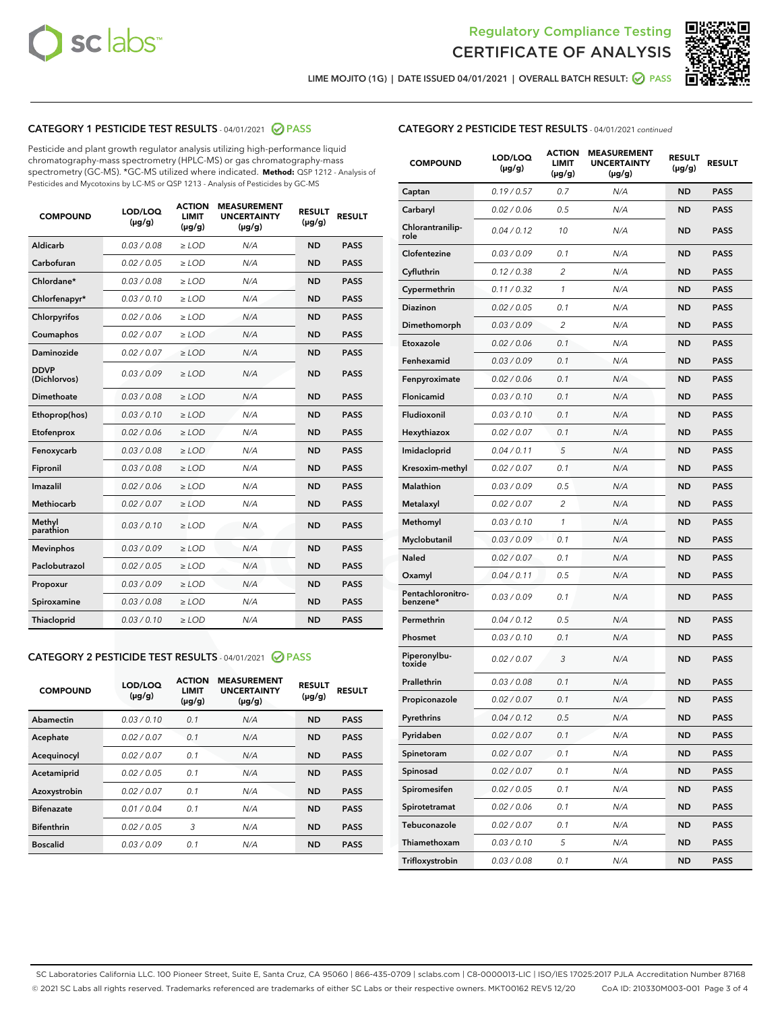



LIME MOJITO (1G) | DATE ISSUED 04/01/2021 | OVERALL BATCH RESULT: ● PASS

## CATEGORY 1 PESTICIDE TEST RESULTS - 04/01/2021 2 PASS

Pesticide and plant growth regulator analysis utilizing high-performance liquid chromatography-mass spectrometry (HPLC-MS) or gas chromatography-mass spectrometry (GC-MS). \*GC-MS utilized where indicated. **Method:** QSP 1212 - Analysis of Pesticides and Mycotoxins by LC-MS or QSP 1213 - Analysis of Pesticides by GC-MS

| <b>COMPOUND</b>             | LOD/LOQ<br>$(\mu g/g)$ | <b>ACTION</b><br><b>LIMIT</b><br>$(\mu g/g)$ | <b>MEASUREMENT</b><br><b>UNCERTAINTY</b><br>$(\mu g/g)$ | <b>RESULT</b><br>$(\mu g/g)$ | <b>RESULT</b> |
|-----------------------------|------------------------|----------------------------------------------|---------------------------------------------------------|------------------------------|---------------|
| Aldicarb                    | 0.03 / 0.08            | $\ge$ LOD                                    | N/A                                                     | <b>ND</b>                    | <b>PASS</b>   |
| Carbofuran                  | 0.02 / 0.05            | $>$ LOD                                      | N/A                                                     | <b>ND</b>                    | <b>PASS</b>   |
| Chlordane*                  | 0.03 / 0.08            | $\ge$ LOD                                    | N/A                                                     | <b>ND</b>                    | <b>PASS</b>   |
| Chlorfenapyr*               | 0.03/0.10              | $\ge$ LOD                                    | N/A                                                     | <b>ND</b>                    | <b>PASS</b>   |
| Chlorpyrifos                | 0.02 / 0.06            | $>$ LOD                                      | N/A                                                     | <b>ND</b>                    | <b>PASS</b>   |
| Coumaphos                   | 0.02 / 0.07            | $\ge$ LOD                                    | N/A                                                     | <b>ND</b>                    | <b>PASS</b>   |
| Daminozide                  | 0.02 / 0.07            | $\ge$ LOD                                    | N/A                                                     | <b>ND</b>                    | <b>PASS</b>   |
| <b>DDVP</b><br>(Dichlorvos) | 0.03/0.09              | $\ge$ LOD                                    | N/A                                                     | <b>ND</b>                    | <b>PASS</b>   |
| Dimethoate                  | 0.03/0.08              | $>$ LOD                                      | N/A                                                     | <b>ND</b>                    | <b>PASS</b>   |
| Ethoprop(hos)               | 0.03/0.10              | $\ge$ LOD                                    | N/A                                                     | <b>ND</b>                    | <b>PASS</b>   |
| Etofenprox                  | 0.02/0.06              | $>$ LOD                                      | N/A                                                     | <b>ND</b>                    | <b>PASS</b>   |
| Fenoxycarb                  | 0.03 / 0.08            | $\ge$ LOD                                    | N/A                                                     | <b>ND</b>                    | <b>PASS</b>   |
| Fipronil                    | 0.03 / 0.08            | $\ge$ LOD                                    | N/A                                                     | <b>ND</b>                    | <b>PASS</b>   |
| Imazalil                    | 0.02 / 0.06            | $\ge$ LOD                                    | N/A                                                     | <b>ND</b>                    | <b>PASS</b>   |
| Methiocarb                  | 0.02 / 0.07            | $\ge$ LOD                                    | N/A                                                     | <b>ND</b>                    | <b>PASS</b>   |
| Methyl<br>parathion         | 0.03/0.10              | $>$ LOD                                      | N/A                                                     | <b>ND</b>                    | <b>PASS</b>   |
| <b>Mevinphos</b>            | 0.03/0.09              | $\ge$ LOD                                    | N/A                                                     | <b>ND</b>                    | <b>PASS</b>   |
| Paclobutrazol               | 0.02 / 0.05            | $\ge$ LOD                                    | N/A                                                     | <b>ND</b>                    | <b>PASS</b>   |
| Propoxur                    | 0.03/0.09              | $\ge$ LOD                                    | N/A                                                     | <b>ND</b>                    | <b>PASS</b>   |
| Spiroxamine                 | 0.03 / 0.08            | $\ge$ LOD                                    | N/A                                                     | <b>ND</b>                    | <b>PASS</b>   |
| <b>Thiacloprid</b>          | 0.03/0.10              | $\ge$ LOD                                    | N/A                                                     | <b>ND</b>                    | <b>PASS</b>   |

## CATEGORY 2 PESTICIDE TEST RESULTS - 04/01/2021 @ PASS

| <b>COMPOUND</b>   | LOD/LOQ<br>$(\mu g/g)$ | <b>ACTION</b><br><b>LIMIT</b><br>$(\mu g/g)$ | <b>MEASUREMENT</b><br><b>UNCERTAINTY</b><br>$(\mu g/g)$ | <b>RESULT</b><br>$(\mu g/g)$ | <b>RESULT</b> |
|-------------------|------------------------|----------------------------------------------|---------------------------------------------------------|------------------------------|---------------|
| Abamectin         | 0.03/0.10              | 0.1                                          | N/A                                                     | <b>ND</b>                    | <b>PASS</b>   |
| Acephate          | 0.02/0.07              | 0.1                                          | N/A                                                     | <b>ND</b>                    | <b>PASS</b>   |
| Acequinocyl       | 0.02/0.07              | 0.1                                          | N/A                                                     | <b>ND</b>                    | <b>PASS</b>   |
| Acetamiprid       | 0.02/0.05              | 0.1                                          | N/A                                                     | <b>ND</b>                    | <b>PASS</b>   |
| Azoxystrobin      | 0.02/0.07              | 0.1                                          | N/A                                                     | <b>ND</b>                    | <b>PASS</b>   |
| <b>Bifenazate</b> | 0.01/0.04              | 0.1                                          | N/A                                                     | <b>ND</b>                    | <b>PASS</b>   |
| <b>Bifenthrin</b> | 0.02/0.05              | 3                                            | N/A                                                     | <b>ND</b>                    | <b>PASS</b>   |
| <b>Boscalid</b>   | 0.03/0.09              | 0.1                                          | N/A                                                     | <b>ND</b>                    | <b>PASS</b>   |

## CATEGORY 2 PESTICIDE TEST RESULTS - 04/01/2021 continued

| <b>COMPOUND</b>               | <b>LOD/LOQ</b><br>$(\mu g/g)$ | <b>ACTION</b><br><b>LIMIT</b><br>(µg/g) | <b>MEASUREMENT</b><br><b>UNCERTAINTY</b><br>(µg/g) | <b>RESULT</b><br>(µg/g) | <b>RESULT</b> |
|-------------------------------|-------------------------------|-----------------------------------------|----------------------------------------------------|-------------------------|---------------|
| Captan                        | 0.19/0.57                     | 0.7                                     | N/A                                                | ND                      | <b>PASS</b>   |
| Carbaryl                      | 0.02 / 0.06                   | 0.5                                     | N/A                                                | ND                      | <b>PASS</b>   |
| Chlorantranilip-<br>role      | 0.04 / 0.12                   | 10                                      | N/A                                                | ND                      | <b>PASS</b>   |
| Clofentezine                  | 0.03/0.09                     | 0.1                                     | N/A                                                | <b>ND</b>               | <b>PASS</b>   |
| Cyfluthrin                    | 0.12 / 0.38                   | $\overline{2}$                          | N/A                                                | ND                      | <b>PASS</b>   |
| Cypermethrin                  | 0.11 / 0.32                   | $\mathbf{1}$                            | N/A                                                | ND                      | <b>PASS</b>   |
| <b>Diazinon</b>               | 0.02 / 0.05                   | 0.1                                     | N/A                                                | ND                      | <b>PASS</b>   |
| Dimethomorph                  | 0.03 / 0.09                   | 2                                       | N/A                                                | ND                      | <b>PASS</b>   |
| Etoxazole                     | 0.02 / 0.06                   | 0.1                                     | N/A                                                | ND                      | <b>PASS</b>   |
| Fenhexamid                    | 0.03 / 0.09                   | 0.1                                     | N/A                                                | ND                      | <b>PASS</b>   |
| Fenpyroximate                 | 0.02 / 0.06                   | 0.1                                     | N/A                                                | ND                      | <b>PASS</b>   |
| Flonicamid                    | 0.03 / 0.10                   | 0.1                                     | N/A                                                | ND                      | <b>PASS</b>   |
| Fludioxonil                   | 0.03/0.10                     | 0.1                                     | N/A                                                | ND                      | <b>PASS</b>   |
| Hexythiazox                   | 0.02 / 0.07                   | 0.1                                     | N/A                                                | ND                      | <b>PASS</b>   |
| Imidacloprid                  | 0.04 / 0.11                   | 5                                       | N/A                                                | ND                      | <b>PASS</b>   |
| Kresoxim-methyl               | 0.02 / 0.07                   | 0.1                                     | N/A                                                | ND                      | <b>PASS</b>   |
| <b>Malathion</b>              | 0.03 / 0.09                   | 0.5                                     | N/A                                                | ND                      | <b>PASS</b>   |
| Metalaxyl                     | 0.02 / 0.07                   | 2                                       | N/A                                                | ND                      | <b>PASS</b>   |
| Methomyl                      | 0.03 / 0.10                   | 1                                       | N/A                                                | ND                      | <b>PASS</b>   |
| Myclobutanil                  | 0.03 / 0.09                   | 0.1                                     | N/A                                                | ND                      | <b>PASS</b>   |
| Naled                         | 0.02 / 0.07                   | 0.1                                     | N/A                                                | ND                      | <b>PASS</b>   |
| Oxamyl                        | 0.04 / 0.11                   | 0.5                                     | N/A                                                | ND                      | <b>PASS</b>   |
| Pentachloronitro-<br>benzene* | 0.03 / 0.09                   | 0.1                                     | N/A                                                | ND                      | PASS          |
| Permethrin                    | 0.04 / 0.12                   | 0.5                                     | N/A                                                | ND                      | <b>PASS</b>   |
| Phosmet                       | 0.03 / 0.10                   | 0.1                                     | N/A                                                | ND                      | <b>PASS</b>   |
| Piperonylbu-<br>toxide        | 0.02 / 0.07                   | 3                                       | N/A                                                | ND                      | <b>PASS</b>   |
| Prallethrin                   | 0.03 / 0.08                   | 0.1                                     | N/A                                                | ND                      | <b>PASS</b>   |
| Propiconazole                 | 0.02 / 0.07                   | 0.1                                     | N/A                                                | ND                      | <b>PASS</b>   |
| Pyrethrins                    | 0.04 / 0.12                   | 0.5                                     | N/A                                                | ND                      | PASS          |
| Pyridaben                     | 0.02 / 0.07                   | 0.1                                     | N/A                                                | ND                      | PASS          |
| Spinetoram                    | 0.02 / 0.07                   | 0.1                                     | N/A                                                | ND                      | <b>PASS</b>   |
| Spinosad                      | 0.02 / 0.07                   | 0.1                                     | N/A                                                | ND                      | <b>PASS</b>   |
| Spiromesifen                  | 0.02 / 0.05                   | 0.1                                     | N/A                                                | <b>ND</b>               | <b>PASS</b>   |
| Spirotetramat                 | 0.02 / 0.06                   | 0.1                                     | N/A                                                | <b>ND</b>               | <b>PASS</b>   |
| Tebuconazole                  | 0.02 / 0.07                   | 0.1                                     | N/A                                                | ND                      | <b>PASS</b>   |
| Thiamethoxam                  | 0.03 / 0.10                   | 5                                       | N/A                                                | <b>ND</b>               | <b>PASS</b>   |
| Trifloxystrobin               | 0.03 / 0.08                   | 0.1                                     | N/A                                                | <b>ND</b>               | <b>PASS</b>   |